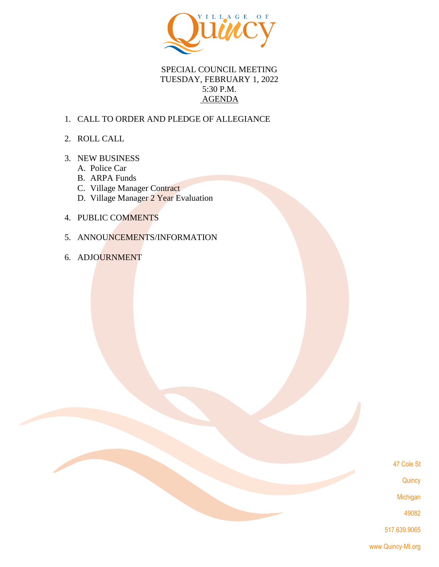

# SPECIAL COUNCIL MEETING TUESDAY, FEBRUARY 1, 2022 5:30 P.M. AGENDA

# 1. CALL TO ORDER AND PLEDGE OF ALLEGIANCE

2. ROLL CALL

## 3. NEW BUSINESS

- A. Police Car
- B. ARPA Funds
- C. Village Manager Contract
- D. Village Manager 2 Year Evaluation
- 4. PUBLIC COMMENTS
- 5. ANNOUNCEMENTS/INFORMATION
- 6. ADJOURNMENT

47 Cole St

**Quincy** 

Michigan

49082

517.639.9065

www.Quincy-MI.org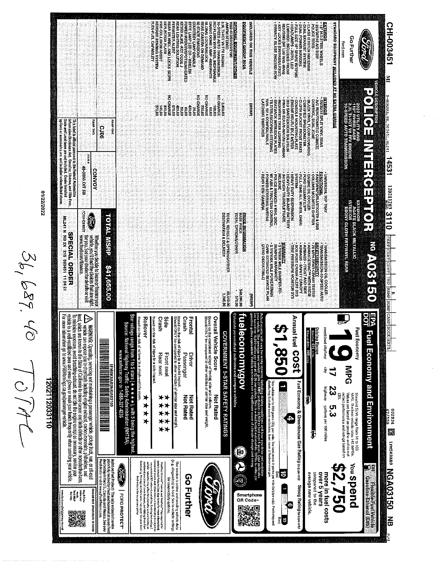36,689.40 TOM

01/22/2022

120211203110

3.30 T PLOT WS FT HOURS ASSEMENT WAS ARRESTED FOR A SALE PROPERANT RID PLUS WAY INDUCTOR A RECORD AND INDUCTOR AND INDUCTOR CONTINUES IN A REPORT OF A REPORT OF A REPORT OF A REPORT OF A REPORT OF A REPORT OF A REPORT OF **EXTERIOR<br>A CRISTIAN STELL WHEELS** . CLASS III HITCH RECEIVER<br>CLASS III HITCH RESERVED STATES IN THE STATE WITH SECTION IS FOR THE STATE WITH STATE STATE STATE STATE OF STATES IN THE STATE OF STATES IN THE STATE OF STATES IN THE STATE OF STATES IN THE STATE CHI-003451 EQUIPMENT QROUP 600A **HOLUDED ON THIS VEHICLE** STANDARD EQUIPMENT INCLUDED AT NO EXTRA GHARGE **PTIONE EQUIPMENT/OTHER** POLICE TIRES **Chird Go Further** ford,com  $\mathbb{R}$ NO CHARGE<br>00.025 9-мокиль, мв, 003451, иг241 14531  $\begin{array}{l} 8.32 \\ 2.33 \\ 2.34 \\ 2.35 \\ 2.36 \\ 2.37 \\ 2.38 \\ 2.39 \\ 2.30 \\ 2.31 \\ 2.32 \\ 2.33 \\ 2.35 \\ 2.36 \\ 2.37 \\ 2.38 \\ 2.37 \\ 2.38 \\ 2.39 \\ 2.30 \\ 2.33 \\ 2.33 \\ 2.35 \\ 2.37 \\ 2.37 \\ 2.38 \\ 2.39 \\ 2.39 \\ 2.39 \\ 2.39 \\ 2.39 \\ 2.39 \\ 2.39 \\ 2.39 \\ 2.39 \\ 2.$ 00'091<br>HD CHARGE<br>DO CHARGE . BLACK WINT FLOOR COVERING<br>COMPARY STATE STATE REVENUE AND STATE STATE STATE REVENUE AND THE STATE STATE STATE STATE STATE STATE STATE STATE STATE STATE STATE STATE STATE STATE STATE STATE STATE STATE STATE STATE STATE ST KO CHARGE **MTERIOR**<br>SARANJS SPLIT VIN'L REAR<br>SARANJS SPLIT VIN'L REAR A/C WIAUTOMATIC CLIS LATCHING SWITCHES **CATEGORY** 2022 UTILITY AND<br>119 WHEELBASE<br>3.3LTI VCT V6 FFV ENGINE<br>10-SPEED AUTO TRANSMISSION 10.00 This label is affixed pursuant to the Fedoral Automobile<br>Information Disclosure Act. Gasesline, Leense, and Tille Fees;<br>State and Local Laxes are not included. Dealer Installed oplions or accessories are not included unless listed above. **OWL divit MAP CKE SP06 TEM** 48-0050 OT 5B **. EUNESTIQUE DE 1978**<br>COLUMN MOUVITED SHIFTER<br>COLUMN MOUVITED SHIFTER<br>- FORD TELL COOLER<br>- FORD TELL WOUR<br>- FOUL-TIME ALL WHEEL DRIVE<br>- FOUL-TIME ALL WHEEL DRIVE **CONNON** POLICE BRAKES: 4 WHL DISC.<br>W/ ABS & TRACTION CONTROL<br>POWER STEERING WIEPAS HEAVY DUTY BUSPENSION<br>HEAVY-DUTY 80-AMP BATTERY<br>INI ERIOR TRUNK/LETQATE<br>RELEASE<br>RELEASE **NATI SAL TOP TRAY EAR VIEW CAMERA** isrek  $12021_{4.03}^{2.03}$  3110  $\frac{1}{\sqrt{100}}$   $\frac{1}{\sqrt{100}}$   $\frac{1}{\sqrt{100}}$   $\frac{1}{\sqrt{100}}$   $\frac{1}{\sqrt{100}}$   $\frac{1}{\sqrt{100}}$   $\frac{1}{\sqrt{100}}$   $\frac{1}{\sqrt{100}}$ EXTERIOR<br>INTERIOR<br>INTERIOR CLOTH FRTVINVL REAR<br>INTERIOR CLOTH FRTVINVL REAR Whatlar you define to lesse or finance your<br>Company of the second detection defined a self of the second detection of the second second<br>rows case or with with door finance. **PRICE INFORMATION**<br>BASE PRICE<br>TOTAL OFTIONS/OTHER TOTAL VEHICLE & OPTIONS/OTHER<br>DESTINATION & DELIVERY **TOTAL MSRP SPECIAL ORDER**  $1001191$ **. SAFET/VSECURITY:**<br>ADMINICE IRON TRISPER STRAIN AND SIDE<br>AMANDE IRON TRISPER STRAIN AND SIDE<br>AMANDE IRON TRISPER STRAIN AND SIDE STRAIN STRAIN STRAIN STRAIN STRAIN STRAIN STRAIN STRAIN STRAIN STRAIN STR<br>ADMINICE PRESSURE **MARBANTA**<br>FINDAR MARRANTY<br>FINDAR MARRANTY<br>FINDAR MARRANTY<br>FOATE EXTENDED SERVICE PLAN<br>CARE EXTENDED SERVICE PLAN CERO DEDUCTIBLE TRANSMISSION OL COOLER<br>TRANSMISSION-10-SPEED AUTO 0019591179 00029<br>00000005 11,245,00<br>00.015,00 (AHSIAI) **EPA Fuel Economy and Environment**  $\bigwedge$  WARNING: Operating, servicing and maintaining a passenger vehicle, pickup, truck, yan, or of read lead, which, which can expose you to chemicals invincing and include the convex proportion of the convex of the conv Star ratings range from 1 to 5 stars (  $\star\star\star\star\star\star$  ), with 5 being the highest<br>source: National Highway Traffic Safely Administration (NHTSA).<br>Source: National Highway Traffic Safely Administration (NHTSA). **fueleconomical submates and company** or biters<br>Cabautes personatized estimates and compane voluties **Allamedia** Annual fuel COSt Crash ctual results will vary for many reasons, including driving conditions and how you drive and maintain<br>our seat on 15,000 reage way variet & 2,255 per gallon. This is a dual tualed elotero Nie. All Oe is milies pr<br>our seat Side Based on the combined ratings of frontal, side and rollover.<br>Should ONLY be compared to other vehicles of similar size and weight Overall Vehicle Score Based on the risk of rollover in a single-vehicle crash. Rollover Crash assed on the risk of injury in a frontal Impact<br>Should ONLY be compared to other vehicles Frontal lased on the risk of injury in a side impac **DOSS-13** Driving Range<br>Cosane (10 mile) combined city/hwy **Fuel Economy** Ethanol (E85): 305 miles GOVERNMENT 5-STAR SAFETY RATINGS Rear seat Passenger Driver **Front seat** Ş This vehicle emits 459 ganns CC<sub>2</sub> per mile. The best emits O ganns per mite (talippe only). Producing and<br>distributing fual also create emissions; learn more at fueleconomy.gov. Fuel Economy & Greenhouse Gas Rating (abpack) Smog Rating taspack) 23 highway gallons per 100 miles similar size and weight Standard SUVs range from 14 to 105<br>WPG, The best vehicle rates 142 MPGe.<br>Values are based on gesoline and do not<br>reflect performence and ratings based on E85. Not Rated<br>Not Rated \* \* \* \* \* \* \*<br>\* \* \* \* \* \* \* Not Rated J \*\*\*\* ပ္ပ<br>(၂ 4)  $\odot \mathbf{C}$ | Insist on Ford Protect! | The oraly extended service<br>| plan fully backed by Ford and horrored at every Ford<br>| dealership in the U.S., Canada and Mesico. See your FortPatt Corvect<sup>ure</sup> treats and FortPatter Spacebook for Correction of Space Space (SpaceCorrection of SpaceCorrection of SpaceCorrection of SpaceCorrection of SpaceCorrection of SpaceCorrection of SpaceCorrection of Spa The modem is active and sending vehicle data<br>(e.g. diagnosites) to Ford. See in vehicle settings<br>(e.g. diagnosites) to Ford. See in vehicle settings lundian'ng Massage and tiera rates may aprin.<br>Ford website for our primery policy **\$2,750** pueds nox **585 Flexible FuelVehicle**<br>Ay Gasoline Ethanol (E85) **CONNO | FORD PROTECT** ຸ້ອ over 5 years sverage new vehicle. compared to the more in fuel costs Go Further  $\begin{array}{c} \hline \mathbf{0} \end{array}$ SCANDRIEXT IFRIGADES TO GOOGS www.ford.com/htp/privacy-temus/ an ar a sean foan<br>apply See your baal<br>poliv 8 Best Ē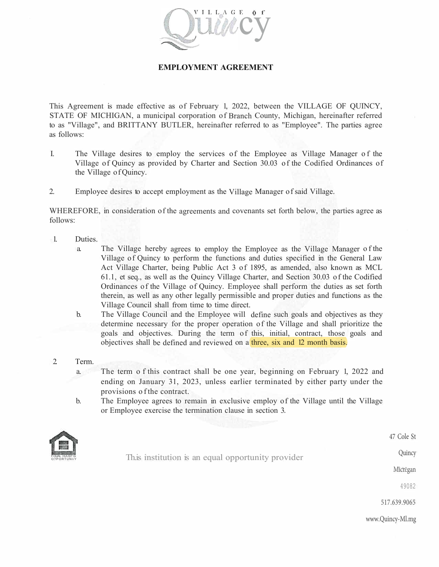

### **EMPLOYMENT AGREEMENT**

This Agreement is made effective as of February 1, 2022, between the VILLAGE OF QUINCY, STATE OF MICHIGAN, a municipal corporation of Branch County, Michigan, hereinafter referred to as "Village", and BRITTANY BUTLER, hereinafter referred to as "Employee". The parties agree as follows:

- I. The Village desires to employ the services of the Employee as Village Manager of the Village of Quincy as provided by Charter and Section 30.03 of the Codified Ordinances of the Village of Quincy.
- 2. Employee desires to accept employment as the Village Manager of said Village.

WHEREFORE, in consideration of the agreements and covenants set forth below, the parties agree as follows:

- 1. Duties.
	- a. The Village hereby agrees to employ the Employee as the Village Manager of the Village of Quincy to perform the functions and duties specified in the General Law Act Village Charter, being Public Act 3 of 1895, as amended, also known as MCL 61.1, et seq., as well as the Quincy Village Charter, and Section 30.03 o f the Codified Ordinances of the Village of Quincy. Employee shall perform the duties as set forth therein, as well as any other legally permissible and proper duties and functions as the Village Council shall from time to time direct.
	- b. The Village Council and the Employee will define such goals and objectives as they determine necessary for the proper operation of the Village and shall prioritize the goals and objectives. During the term of this, initial, contract, those goals and objectives shall be defined and reviewed on a three, six and 12 month basis.
- 2. Term.
	- a. The term o f this contract shall be one year, beginning on February 1, 2022 and ending on January 31, 2023, unless earlier terminated by either party under the provisions o f the contract.
	- b. The Employee agrees to remain in exclusive employ of the Village until the Village or Employee exercise the termination clause in section 3.



This institution is an equal opportunity provider

Micn:gan

Quincy

47 Cole St

49082

517.639.9065

www.Quincy-Ml.mg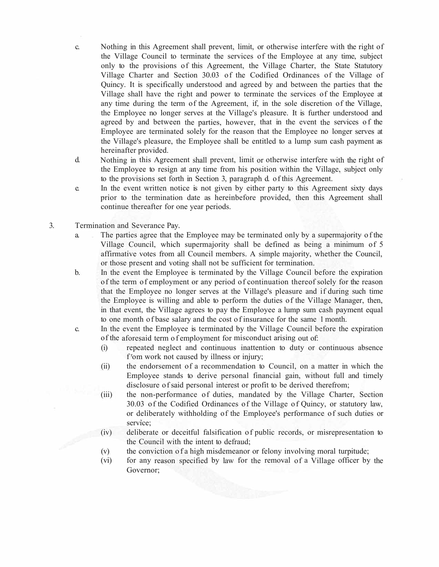- c. Nothing in this Agreement shall prevent, limit, or otherwise interfere with the right of the Village Council to terminate the services of the Employee at any time, subject only to the provisions of this Agreement, the Village Charter, the State Statutory Village Charter and Section 30.03 of the Codified Ordinances of the Village of Quincy. It is specifically understood and agreed by and between the parties that the Village shall have the right and power to terminate the services of the Employee at any time during the term of the Agreement, if, in the sole discretion of the Village, the Employee no longer serves at the Village's pleasure. It is further understood and agreed by and between the parties, however, that in the event the services of the Employee are terminated solely for the reason that the Employee no longer serves at the Village's pleasure, the Employee shall be entitled to a lump sum cash payment as hereinafter provided.
- d. Nothing in this Agreement shall prevent, limit or otherwise interfere with the right of the Employee to resign at any time from his position within the Village, subject only to the provisions set forth in Section 3, paragraph d. of this Agreement.
- e. In the event written notice is not given by either party to this Agreement sixty days prior to the termination date as hereinbefore provided, then this Agreement shall continue thereafter for one year periods.
- 3. Termination and Severance Pay.
	- a. The parties agree that the Employee may be terminated only by a supermajority of the Village Council, which supermajority shall be defined as being a minimum of 5 affirmative votes from all Council members. A simple majority, whether the Council, or those present and voting shall not be sufficient for termination.
	- b. In the event the Employee is terminated by the Village Council before the expiration of the term of employment or any period of continuation thereof solely for the reason that the Employee no longer serves at the Village's pleasure and if during such time the Employee is willing and able to perform the duties of the Village Manager, then, in that event, the Village agrees to pay the Employee a lump sum cash payment equal to one month of base salary and the cost of insurance for the same 1 month.
	- c. In the event the Employee is terminated by the Village Council before the expiration of the aforesaid term of employment for misconduct arising out of:
		- (i) repeated neglect and continuous inattention to duty or continuous absence f<sup>r</sup>om work not caused by illness or injury;
		- (ii) the endorsement of a recommendation to Council, on a matter in which the Employee stands to derive personal financial gain, without full and timely disclosure of said personal interest or profit to be derived therefrom;
		- (iii) the non-performance of duties, mandated by the Village Charter, Section 30.03 of the Codified Ordinances of the Village of Quincy, or statutory law, or deliberately withholding of the Employee's performance of such duties or service;
		- (iv) deliberate or deceitful falsification of public records, or misrepresentation to the Council with the intent to defraud;
		- (v) the conviction of a high misdemeanor or felony involving moral turpitude;
		- (vi) for any reason specified by law for the removal of a Village officer by the Governor;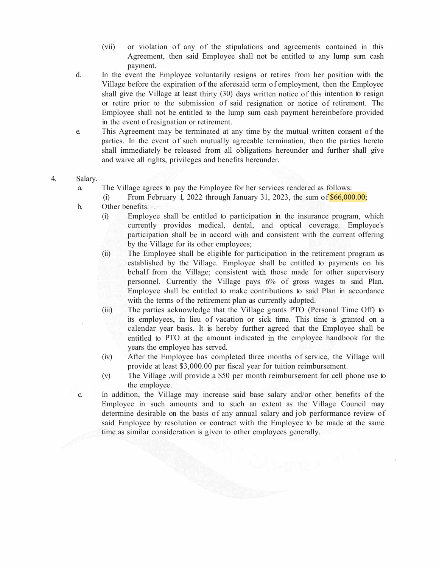- (vii) or violation of any of the stipulations and agreements contained in this Agreement, then said Employee shall not be entitled to any lump sum cash payment.
- d. In the event the Employee voluntarily resigns or retires from her position with the Village before the expiration of the aforesaid term of employment, then the Employee shall give the Village at least thirty (30) days written notice of this intention to resign or retire prior to the submission of said resignation or notice of retirement. The Employee shall not be entitled to the lump sum cash payment hereinbefore provided in the event of resignation or retirement.
- e. This Agreement may be terminated at any time by the mutual written consent of the parties. In the event of such mutually agreeable termination, then the parties hereto shall immediately be released from all obligations hereunder and further shall give and waive all rights, privileges and benefits hereunder.
- 4. Salary.
	- a. The Village agrees to pay the Employee for her services rendered as follows:
		- (i) From February 1, 2022 through January 31, 2023, the sum of  $$66,000.00;$
	- b. Other benefits.
		- (i) Employee shall be entitled to participation in the insurance program, which currently provides medical, dental, and optical coverage. Employee's participation shall be in accord with and consistent with the current offering by the Village for its other employees;
		- (ii) The Employee shall be eligible for participation in the retirement program as established by the Village. Employee shall be entitled to payments on his behalf from the Village; consistent with those made for other supervisory personnel. Currently the Village pays 6% of gross wages to said Plan. Employee shall be entitled to make contributions to said Plan in accordance with the terms of the retirement plan as currently adopted.
		- (iii) The parties acknowledge that the Village grants PTO (Personal Time Off) to its employees, in lieu of vacation or sick time. This time is granted on a calendar year basis. It is hereby further agreed that the Employee shall be entitled to PTO at the amount indicated in the employee handbook for the years the employee has served.
		- (iv) After the Employee has completed three months of service, the Village will provide at least \$3,000.00 per fiscal year for tuition reimbursement.
		- (v) The Village ,will provide a \$50 per month reimbursement for cell phone use to the employee.
	- c. In addition, the Village may increase said base salary and/or other benefits of the Employee in such amounts and to such an extent as the Village Council may determine desirable on the basis of any annual salary and job performance review of said Employee by resolution or contract with the Employee to be made at the same time as similar consideration is given to other employees generally.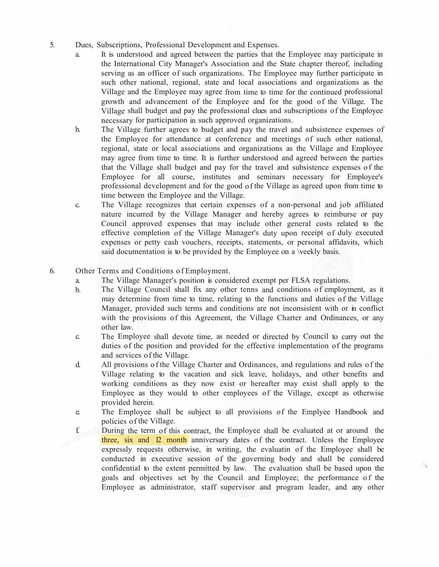- 5. Dues, Subscriptions, Professional Development and Expenses.
	- a. It is understood and agreed between the parties that the Employee may participate in the International City Manager's Association and the State chapter thereof, including serving as an officer of such organizations. The Employee may further participate in such other national, regional, state and local associations and organizations as the Village and the Employee may agree from time to time for the continued professional growth and advancement of the Employee and for the good of the Village. The Village shall budget and pay the professional clues and subscriptions of the Employee necessary for participation in such approved organizations.
	- b. The Village further agrees to budget and pay the travel and subsistence expenses of the Employee for attendance at conference and meetings of such other national, regional, state or local associations and organizations as the Village and Employee may agree from time to time. It is further understood and agreed between the parties that the Village shall budget and pay for the travel and subsistence expenses of the Employee for all course, institutes and seminars necessary for Employee's professional development and for the good of the Village as agreed upon from time to time between the Employee and the Village.
	- c. The Village recognizes that certain expenses of a non-personal and job affiliated nature incurred by the Village Manager and hereby agrees to reimburse or pay Council approved expenses that may include other general costs related to the effective completion of the Village Manager's duty upon receipt of duly executed expenses or petty cash vouchers, receipts, statements, or personal affidavits, which said documentation is to be provided by the Employee on a \veekly basis.
- 6. Other Terms and Conditions of Employment.
	- a. The Village Manager's position is considered exempt per FLSA regulations.
	- b. The Village Council shall fix any other tenns and conditions of employment, as it may determine from time to time, relating to the functions and duties of the Village Manager, provided such terms and conditions are not inconsistent with or in conflict with the provisions of this Agreement, the Village Charter and Ordinances, or any other law.
	- c. The Employee shall devote time, as needed or directed by Council to carry out the duties of the position and provided for the effective implementation of the programs and services of the Village.
	- d. All provisions of the Village Charter and Ordinances, and regulations and rules of the Village relating to the vacation and sick leave, holidays, and other benefits and working conditions as they now exist or hereafter may exist shall apply to the Employee as they would to other employees of the Village, except as otherwise provided herein.
	- e. The Employee shall be subject to all provisions of the Emplyee Handbook and policies of the Village.
	- f. During the term of this contract, the Employee shall be evaluated at or around the three, six and 12 month anniversary dates of the contract. Unless the Employee expressly requests otherwise, in writing, the evaluatin of the Employee shall be conducted in executive session of the governing body and shall be considered confidential to the extent permitted by law. The evaluation shall be based upon the goals and objectives set by the Council and Employee; the performance of the Employee as administrator, staff supervisor and program leader, and any other

 $\mathcal{A}_2$